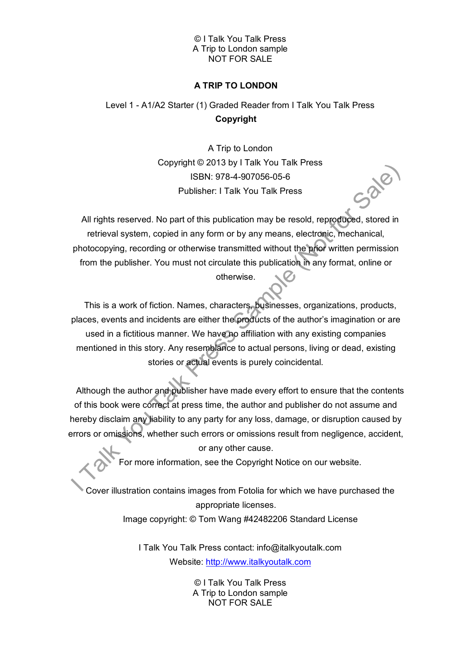### © I Talk You Talk Press A Trip to London sample NOT FOR SALE

## **A TRIP TO LONDON**

# Level 1 - A1/A2 Starter (1) Graded Reader from I Talk You Talk Press **Copyright**

A Trip to London Copyright © 2013 by I Talk You Talk Press ISBN: 978-4-907056-05-6 Publisher: I Talk You Talk Press

All rights reserved. No part of this publication may be resold, reproduced, stored in retrieval system, copied in any form or by any means, electronic, mechanical, photocopying, recording or otherwise transmitted without the prior written permission from the publisher. You must not circulate this publication in any format, online or otherwise.

This is a work of fiction. Names, characters, businesses, organizations, products, places, events and incidents are either the products of the author's imagination or are used in a fictitious manner. We have no affiliation with any existing companies mentioned in this story. Any resemblance to actual persons, living or dead, existing stories or actual events is purely coincidental.

Although the author and publisher have made every effort to ensure that the contents of this book were correct at press time, the author and publisher do not assume and hereby disclaim any liability to any party for any loss, damage, or disruption caused by errors or omissions, whether such errors or omissions result from negligence, accident,

or any other cause.

For more information, see the Copyright Notice on our website.

Cover illustration contains images from Fotolia for which we have purchased the appropriate licenses. Image copyright: © Tom Wang #42482206 Standard License

> I Talk You Talk Press contact: info@italkyoutalk.com Website: [http://www.italkyoutalk.com](http://www.italkyoutalk.com/)

> > © I Talk You Talk Press A Trip to London sample NOT FOR SALE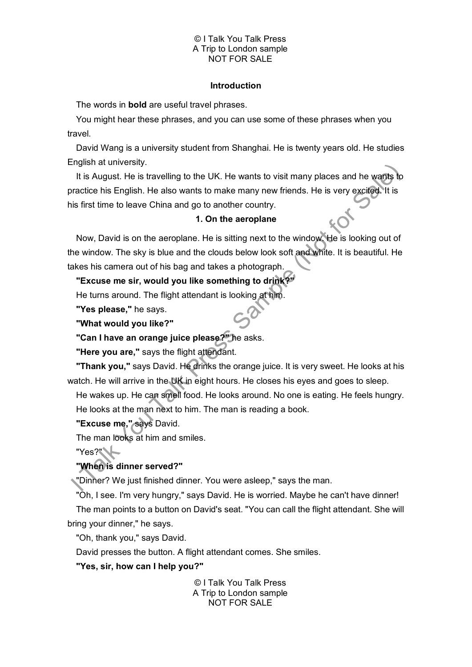### © I Talk You Talk Press A Trip to London sample NOT FOR SALE

### **Introduction**

The words in **bold** are useful travel phrases.

You might hear these phrases, and you can use some of these phrases when you travel.

David Wang is a university student from Shanghai. He is twenty years old. He studies English at university.

It is August. He is travelling to the UK. He wants to visit many places and he wants to practice his English. He also wants to make many new friends. He is very excited. It is his first time to leave China and go to another country.

### **1. On the aeroplane**

Now, David is on the aeroplane. He is sitting next to the window. He is looking out of the window. The sky is blue and the clouds below look soft and white. It is beautiful. He takes his camera out of his bag and takes a photograph.

# **"Excuse me sir, would you like something to drink?"**

He turns around. The flight attendant is looking at him.

**"Yes please,"** he says.

**"What would you like?"**

**"Can I have an orange juice please?"** he asks.

**"Here you are,"** says the flight attendant.

**"Thank you,"** says David. He drinks the orange juice. It is very sweet. He looks at his watch. He will arrive in the UK in eight hours. He closes his eyes and goes to sleep.

He wakes up. He can smell food. He looks around. No one is eating. He feels hungry. He looks at the man next to him. The man is reading a book.

**"Excuse me,"** says David.

The man looks at him and smiles.

"Yes?"

## **"When is dinner served?"**

"Dinner? We just finished dinner. You were asleep," says the man.

"Oh, I see. I'm very hungry," says David. He is worried. Maybe he can't have dinner! The man points to a button on David's seat. "You can call the flight attendant. She will bring your dinner," he says.

"Oh, thank you," says David.

David presses the button. A flight attendant comes. She smiles.

**"Yes, sir, how can I help you?"**

© I Talk You Talk Press A Trip to London sample NOT FOR SALE